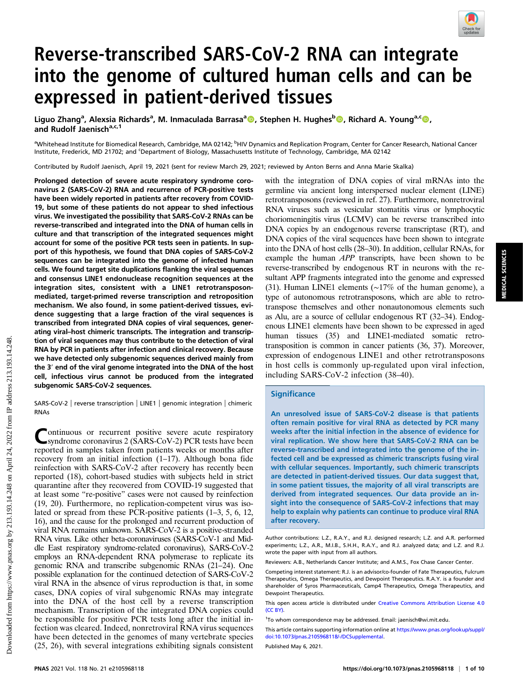# Reverse-transcribed SARS-CoV-2 RNA can integrate into the genome of cultured human cells and can be expressed in patient-derived tissues

Liguo Zhang<sup>a</sup>, Alexsia Richards<sup>a</sup>, M. Inmaculada Barrasa<sup>a</sup> (@, Stephen H. Hughesb (@, Richard A. Young<sup>a,c</sup> @, and Rudolf Jaenisch<sup>a,c,1</sup>

<sup>a</sup>Whitehead Institute for Biomedical Research, Cambridge, MA 02142; <sup>b</sup>HIV Dynamics and Replication Program, Center for Cancer Research, National Cancer Institute, Frederick, MD 21702; and <sup>c</sup>Department of Biology, Massachusetts Institute of Technology, Cambridge, MA 02142

Contributed by Rudolf Jaenisch, April 19, 2021 (sent for review March 29, 2021; reviewed by Anton Berns and Anna Marie Skalka)

Prolonged detection of severe acute respiratory syndrome coronavirus 2 (SARS-CoV-2) RNA and recurrence of PCR-positive tests have been widely reported in patients after recovery from COVID-19, but some of these patients do not appear to shed infectious virus. We investigated the possibility that SARS-CoV-2 RNAs can be reverse-transcribed and integrated into the DNA of human cells in culture and that transcription of the integrated sequences might account for some of the positive PCR tests seen in patients. In support of this hypothesis, we found that DNA copies of SARS-CoV-2 sequences can be integrated into the genome of infected human cells. We found target site duplications flanking the viral sequences and consensus LINE1 endonuclease recognition sequences at the integration sites, consistent with a LINE1 retrotransposonmediated, target-primed reverse transcription and retroposition mechanism. We also found, in some patient-derived tissues, evidence suggesting that a large fraction of the viral sequences is transcribed from integrated DNA copies of viral sequences, generating viral–host chimeric transcripts. The integration and transcription of viral sequences may thus contribute to the detection of viral RNA by PCR in patients after infection and clinical recovery. Because we have detected only subgenomic sequences derived mainly from the 3′ end of the viral genome integrated into the DNA of the host cell, infectious virus cannot be produced from the integrated subgenomic SARS-CoV-2 sequences.

SARS-CoV-2 | reverse transcription | LINE1 | genomic integration | chimeric RNAs

Continuous or recurrent positive severe acute respiratory<br>
Syndrome coronavirus 2 (SARS-CoV-2) PCR tests have been reported in samples taken from patients weeks or months after recovery from an initial infection (1–17). Although bona fide reinfection with SARS-CoV-2 after recovery has recently been reported (18), cohort-based studies with subjects held in strict quarantine after they recovered from COVID-19 suggested that at least some "re-positive" cases were not caused by reinfection (19, 20). Furthermore, no replication-competent virus was isolated or spread from these PCR-positive patients (1–3, 5, 6, 12, 16), and the cause for the prolonged and recurrent production of viral RNA remains unknown. SARS-CoV-2 is a positive-stranded RNA virus. Like other beta-coronaviruses (SARS-CoV-1 and Middle East respiratory syndrome-related coronavirus), SARS-CoV-2 employs an RNA-dependent RNA polymerase to replicate its genomic RNA and transcribe subgenomic RNAs (21–24). One possible explanation for the continued detection of SARS-CoV-2 viral RNA in the absence of virus reproduction is that, in some cases, DNA copies of viral subgenomic RNAs may integrate into the DNA of the host cell by a reverse transcription mechanism. Transcription of the integrated DNA copies could be responsible for positive PCR tests long after the initial infection was cleared. Indeed, nonretroviral RNA virus sequences have been detected in the genomes of many vertebrate species (25, 26), with several integrations exhibiting signals consistent with the integration of DNA copies of viral mRNAs into the germline via ancient long interspersed nuclear element (LINE) retrotransposons (reviewed in ref. 27). Furthermore, nonretroviral RNA viruses such as vesicular stomatitis virus or lymphocytic choriomeningitis virus (LCMV) can be reverse transcribed into DNA copies by an endogenous reverse transcriptase (RT), and DNA copies of the viral sequences have been shown to integrate into the DNA of host cells (28–30). In addition, cellular RNAs, for example the human APP transcripts, have been shown to be reverse-transcribed by endogenous RT in neurons with the resultant APP fragments integrated into the genome and expressed (31). Human LINE1 elements (∼17% of the human genome), a type of autonomous retrotransposons, which are able to retrotranspose themselves and other nonautonomous elements such as Alu, are a source of cellular endogenous RT (32–34). Endogenous LINE1 elements have been shown to be expressed in aged human tissues (35) and LINE1-mediated somatic retrotransposition is common in cancer patients (36, 37). Moreover, expression of endogenous LINE1 and other retrotransposons in host cells is commonly up-regulated upon viral infection, including SARS-CoV-2 infection (38–40).

### **Significance**

An unresolved issue of SARS-CoV-2 disease is that patients often remain positive for viral RNA as detected by PCR many weeks after the initial infection in the absence of evidence for viral replication. We show here that SARS-CoV-2 RNA can be reverse-transcribed and integrated into the genome of the infected cell and be expressed as chimeric transcripts fusing viral with cellular sequences. Importantly, such chimeric transcripts are detected in patient-derived tissues. Our data suggest that, in some patient tissues, the majority of all viral transcripts are derived from integrated sequences. Our data provide an insight into the consequence of SARS-CoV-2 infections that may help to explain why patients can continue to produce viral RNA after recovery.

Author contributions: L.Z., R.A.Y., and R.J. designed research; L.Z. and A.R. performed experiments; L.Z., A.R., M.I.B., S.H.H., R.A.Y., and R.J. analyzed data; and L.Z. and R.J. wrote the paper with input from all authors.

Reviewers: A.B., Netherlands Cancer Institute; and A.M.S., Fox Chase Cancer Center.

Competing interest statement: R.J. is an advisor/co-founder of Fate Therapeutics, Fulcrum Therapeutics, Omega Therapeutics, and Dewpoint Therapeutics. R.A.Y. is a founder and shareholder of Syros Pharmaceuticals, Camp4 Therapeutics, Omega Therapeutics, and Dewpoint Therapeutics.

This open access article is distributed under [Creative Commons Attribution License 4.0](http://creativecommons.org/licenses/by/4.0/) [\(CC BY\).](http://creativecommons.org/licenses/by/4.0/)

1 To whom correspondence may be addressed. Email: [jaenisch@wi.mit.edu.](mailto:jaenisch@wi.mit.edu)

This article contains supporting information online at [https://www.pnas.org/lookup/suppl/](https://www.pnas.org/lookup/suppl/doi:10.1073/pnas.2105968118/-/DCSupplemental) [doi:10.1073/pnas.2105968118/-/DCSupplemental.](https://www.pnas.org/lookup/suppl/doi:10.1073/pnas.2105968118/-/DCSupplemental)

Published May 6, 2021.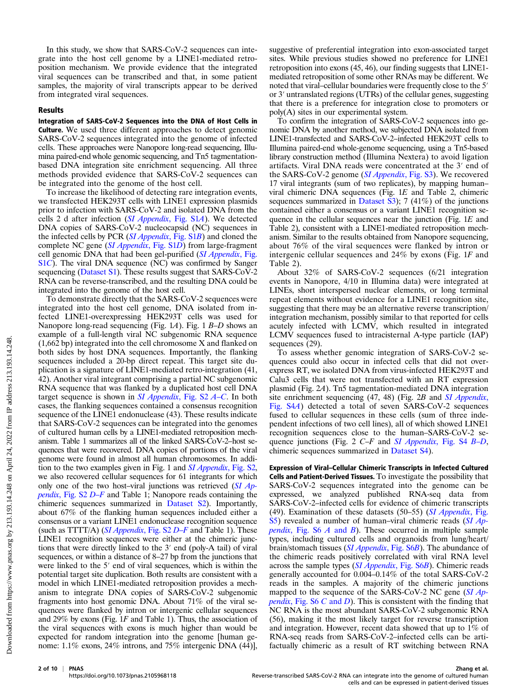In this study, we show that SARS-CoV-2 sequences can integrate into the host cell genome by a LINE1-mediated retroposition mechanism. We provide evidence that the integrated viral sequences can be transcribed and that, in some patient samples, the majority of viral transcripts appear to be derived from integrated viral sequences.

#### Results

Integration of SARS-CoV-2 Sequences into the DNA of Host Cells in Culture. We used three different approaches to detect genomic SARS-CoV-2 sequences integrated into the genome of infected cells. These approaches were Nanopore long-read sequencing, Illumina paired-end whole genomic sequencing, and Tn5 tagmentationbased DNA integration site enrichment sequencing. All three methods provided evidence that SARS-CoV-2 sequences can be integrated into the genome of the host cell.

To increase the likelihood of detecting rare integration events, we transfected HEK293T cells with LINE1 expression plasmids prior to infection with SARS-CoV-2 and isolated DNA from the cells 2 d after infection ([SI Appendix](https://www.pnas.org/lookup/suppl/doi:10.1073/pnas.2105968118/-/DCSupplemental), Fig. S1A). We detected DNA copies of SARS-CoV-2 nucleocapsid (NC) sequences in the infected cells by PCR ([SI Appendix](https://www.pnas.org/lookup/suppl/doi:10.1073/pnas.2105968118/-/DCSupplemental), Fig. S1B) and cloned the complete NC gene ([SI Appendix](https://www.pnas.org/lookup/suppl/doi:10.1073/pnas.2105968118/-/DCSupplemental), Fig. S1D) from large-fragment cell genomic DNA that had been gel-purified ([SI Appendix](https://www.pnas.org/lookup/suppl/doi:10.1073/pnas.2105968118/-/DCSupplemental), Fig. [S1](https://www.pnas.org/lookup/suppl/doi:10.1073/pnas.2105968118/-/DCSupplemental)C). The viral DNA sequence (NC) was confirmed by Sanger sequencing [\(Dataset S1\)](https://www.pnas.org/lookup/suppl/doi:10.1073/pnas.2105968118/-/DCSupplemental). These results suggest that SARS- $Co\bar{V}$ -2 RNA can be reverse-transcribed, and the resulting DNA could be integrated into the genome of the host cell.

To demonstrate directly that the SARS-CoV-2 sequences were integrated into the host cell genome, DNA isolated from infected LINE1-overexpressing HEK293T cells was used for Nanopore long-read sequencing (Fig. 1A). Fig. 1 B-D shows an example of a full-length viral NC subgenomic RNA sequence (1,662 bp) integrated into the cell chromosome X and flanked on both sides by host DNA sequences. Importantly, the flanking sequences included a 20-bp direct repeat. This target site duplication is a signature of LINE1-mediated retro-integration (41, 42). Another viral integrant comprising a partial NC subgenomic RNA sequence that was flanked by a duplicated host cell DNA target sequence is shown in  $SI$  Appendix, Fig. S2  $A$ –[C](https://www.pnas.org/lookup/suppl/doi:10.1073/pnas.2105968118/-/DCSupplemental). In both cases, the flanking sequences contained a consensus recognition sequence of the LINE1 endonuclease (43). These results indicate that SARS-CoV-2 sequences can be integrated into the genomes of cultured human cells by a LINE1-mediated retroposition mechanism. Table 1 summarizes all of the linked SARS-CoV-2–host sequences that were recovered. DNA copies of portions of the viral genome were found in almost all human chromosomes. In addition to the two examples given in Fig. 1 and *[SI Appendix](https://www.pnas.org/lookup/suppl/doi:10.1073/pnas.2105968118/-/DCSupplemental)*, Fig. S2, we also recovered cellular sequences for 61 integrants for which only one of the two host–viral junctions was retrieved  $(SI$  Ap*pendix*[, Fig. S2](https://www.pnas.org/lookup/suppl/doi:10.1073/pnas.2105968118/-/DCSupplemental)  $D-F$  $D-F$  and Table 1; Nanopore reads containing the chimeric sequences summarized in [Dataset S2\)](https://www.pnas.org/lookup/suppl/doi:10.1073/pnas.2105968118/-/DCSupplemental). Importantly, about 67% of the flanking human sequences included either a consensus or a variant LINE1 endonuclease recognition sequence (such as  $TTTT/A$ ) (*[SI Appendix](https://www.pnas.org/lookup/suppl/doi:10.1073/pnas.2105968118/-/DCSupplemental)*, [F](https://www.pnas.org/lookup/suppl/doi:10.1073/pnas.2105968118/-/DCSupplemental)ig. S2 D–F and Table 1). These LINE1 recognition sequences were either at the chimeric junctions that were directly linked to the 3′ end (poly-A tail) of viral sequences, or within a distance of 8–27 bp from the junctions that were linked to the 5′ end of viral sequences, which is within the potential target site duplication. Both results are consistent with a model in which LINE1-mediated retroposition provides a mechanism to integrate DNA copies of SARS-CoV-2 subgenomic fragments into host genomic DNA. About 71% of the viral sequences were flanked by intron or intergenic cellular sequences and 29% by exons (Fig. 1F and Table 1). Thus, the association of the viral sequences with exons is much higher than would be expected for random integration into the genome [human genome: 1.1% exons, 24% introns, and 75% intergenic DNA (44)], suggestive of preferential integration into exon-associated target sites. While previous studies showed no preference for LINE1 retroposition into exons (45, 46), our finding suggests that LINE1 mediated retroposition of some other RNAs may be different. We noted that viral–cellular boundaries were frequently close to the 5′ or 3′ untranslated regions (UTRs) of the cellular genes, suggesting that there is a preference for integration close to promoters or poly(A) sites in our experimental system.

To confirm the integration of SARS-CoV-2 sequences into genomic DNA by another method, we subjected DNA isolated from LINE1-transfected and SARS-CoV-2–infected HEK293T cells to Illumina paired-end whole-genome sequencing, using a Tn5-based library construction method (Illumina Nextera) to avoid ligation artifacts. Viral DNA reads were concentrated at the 3′ end of the SARS-CoV-2 genome ([SI Appendix](https://www.pnas.org/lookup/suppl/doi:10.1073/pnas.2105968118/-/DCSupplemental), Fig. S3). We recovered 17 viral integrants (sum of two replicates), by mapping human– viral chimeric DNA sequences (Fig. 1E and Table 2, chimeric sequences summarized in [Dataset S3\)](https://www.pnas.org/lookup/suppl/doi:10.1073/pnas.2105968118/-/DCSupplemental); 7 (41%) of the junctions contained either a consensus or a variant LINE1 recognition sequence in the cellular sequences near the junction (Fig.  $1E$  and Table 2), consistent with a LINE1-mediated retroposition mechanism. Similar to the results obtained from Nanopore sequencing, about 76% of the viral sequences were flanked by intron or intergenic cellular sequences and 24% by exons (Fig. 1F and Table 2).

About 32% of SARS-CoV-2 sequences (6/21 integration events in Nanopore, 4/10 in Illumina data) were integrated at LINEs, short interspersed nuclear elements, or long terminal repeat elements without evidence for a LINE1 recognition site, suggesting that there may be an alternative reverse transcription/ integration mechanism, possibly similar to that reported for cells acutely infected with LCMV, which resulted in integrated LCMV sequences fused to intracisternal A-type particle (IAP) sequences (29).

To assess whether genomic integration of SARS-CoV-2 sequences could also occur in infected cells that did not overexpress RT, we isolated DNA from virus-infected HEK293T and Calu3 cells that were not transfected with an RT expression plasmid (Fig. 2A). Tn5 tagmentation-mediated DNA integration site enrichment sequencing (47, 48) (Fig. 2B and [SI Appendix](https://www.pnas.org/lookup/suppl/doi:10.1073/pnas.2105968118/-/DCSupplemental), [Fig. S4](https://www.pnas.org/lookup/suppl/doi:10.1073/pnas.2105968118/-/DCSupplemental)A) detected a total of seven SARS-CoV-2 sequences fused to cellular sequences in these cells (sum of three independent infections of two cell lines), all of which showed LINE1 recognition sequences close to the human–SARS-CoV-2 se-quence junctions (Fig. 2 C–F and [SI Appendix](https://www.pnas.org/lookup/suppl/doi:10.1073/pnas.2105968118/-/DCSupplemental), Fig. S4 B–[D](https://www.pnas.org/lookup/suppl/doi:10.1073/pnas.2105968118/-/DCSupplemental), chimeric sequences summarized in [Dataset S4](https://www.pnas.org/lookup/suppl/doi:10.1073/pnas.2105968118/-/DCSupplemental)).

Expression of Viral–Cellular Chimeric Transcripts in Infected Cultured Cells and Patient-Derived Tissues. To investigate the possibility that SARS-CoV-2 sequences integrated into the genome can be expressed, we analyzed published RNA-seq data from SARS-CoV-2–infected cells for evidence of chimeric transcripts (49). Examination of these datasets (50–55) ([SI Appendix](https://www.pnas.org/lookup/suppl/doi:10.1073/pnas.2105968118/-/DCSupplemental), Fig. [S5\)](https://www.pnas.org/lookup/suppl/doi:10.1073/pnas.2105968118/-/DCSupplemental) revealed a number of human–viral chimeric reads ([SI Ap](https://www.pnas.org/lookup/suppl/doi:10.1073/pnas.2105968118/-/DCSupplemental)*pendix*[, Fig. S6](https://www.pnas.org/lookup/suppl/doi:10.1073/pnas.2105968118/-/DCSupplemental)  $\vec{A}$  and  $\vec{B}$ ). These occurred in multiple sample types, including cultured cells and organoids from lung/heart/ brain/stomach tissues ([SI Appendix](https://www.pnas.org/lookup/suppl/doi:10.1073/pnas.2105968118/-/DCSupplemental), Fig. S6B). The abundance of the chimeric reads positively correlated with viral RNA level across the sample types ([SI Appendix](https://www.pnas.org/lookup/suppl/doi:10.1073/pnas.2105968118/-/DCSupplemental), Fig. S6B). Chimeric reads generally accounted for 0.004–0.14% of the total SARS-CoV-2 reads in the samples. A majority of the chimeric junctions mapped to the sequence of the SARS-CoV-2 NC gene ([SI Ap](https://www.pnas.org/lookup/suppl/doi:10.1073/pnas.2105968118/-/DCSupplemental)*pendix*[, Fig. S6](https://www.pnas.org/lookup/suppl/doi:10.1073/pnas.2105968118/-/DCSupplemental)  $C$  and  $D$ ). This is consistent with the finding that NC RNA is the most abundant SARS-CoV-2 subgenomic RNA (56), making it the most likely target for reverse transcription and integration. However, recent data showed that up to 1% of RNA-seq reads from SARS-CoV-2–infected cells can be artifactually chimeric as a result of RT switching between RNA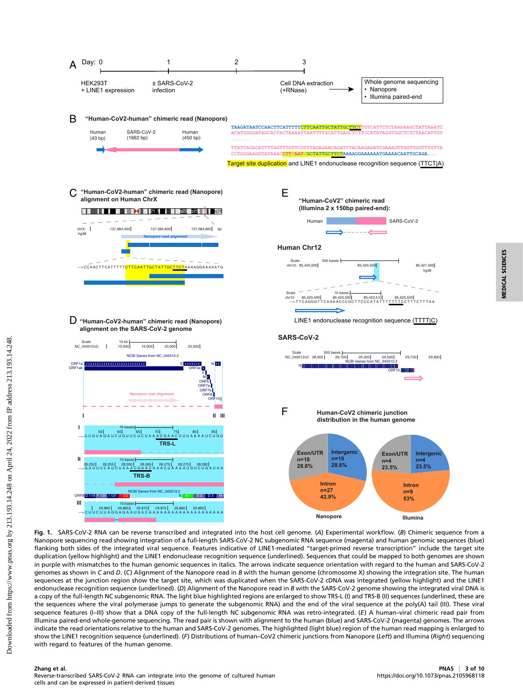

#### Nanopore sequencing read showing integration of a full-length SARS-CoV-2 NC subgenomic RNA sequence (magenta) and human genomic sequences (blue) flanking both sides of the integrated viral sequence. Features indicative of LINE1-mediated "target-primed reverse transcription" include the target site duplication (yellow highlight) and the LINE1 endonuclease recognition sequence (underlined). Sequences that could be mapped to both genomes are shown in purple with mismatches to the human genomic sequences in italics. The arrows indicate sequence orientation with regard to the human and SARS-CoV-2 genomes as shown in C and D. (C) Alignment of the Nanopore read in B with the human genome (chromosome X) showing the integration site. The human sequences at the junction region show the target site, which was duplicated when the SARS-CoV-2 cDNA was integrated (yellow highlight) and the LINE1 endonuclease recognition sequence (underlined). (D) Alignment of the Nanopore read in B with the SARS-CoV-2 genome showing the integrated viral DNA is a copy of the full-length NC subgenomic RNA. The light blue highlighted regions are enlarged to show TRS-L (I) and TRS-B (II) sequences (underlined, these are the sequences where the viral polymerase jumps to generate the subgenomic RNA) and the end of the viral sequence at the poly(A) tail (III). These viral sequence features (I-III) show that a DNA copy of the full-length NC subgenomic RNA was retro-integrated. (E) A human-viral chimeric read pair from Illumina paired-end whole-genome sequencing. The read pair is shown with alignment to the human (blue) and SARS-CoV-2 (magenta) genomes. The arrows indicate the read orientations relative to the human and SARS-CoV-2 genomes. The highlighted (light blue) region of the human read mapping is enlarged to show the LINE1 recognition sequence (underlined). (F) Distributions of human-CoV2 chimeric junctions from Nanopore (Left) and Illumina (Right) sequencing with regard to features of the human genome.

## Zhang et al. PNAS <sup>|</sup> 3 of 10 Reverse-transcribed SARS-CoV-2 RNA can integrate into the genome of cultured human cells and can be expressed in patient-derived tissues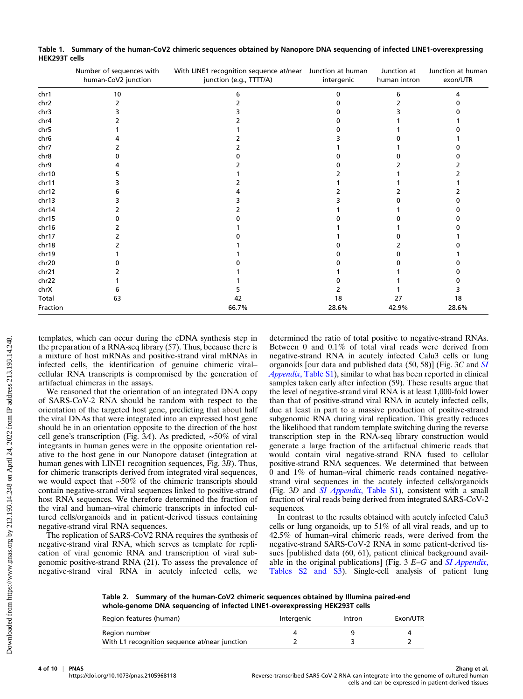|          | Number of sequences with<br>human-CoV2 junction | With LINE1 recognition sequence at/near Junction at human<br>junction (e.g., TTTT/A) | intergenic | Junction at<br>human intron | Junction at human<br>exon/UTR |
|----------|-------------------------------------------------|--------------------------------------------------------------------------------------|------------|-----------------------------|-------------------------------|
| chr1     | 10                                              |                                                                                      |            |                             |                               |
| chr2     |                                                 |                                                                                      |            |                             |                               |
| chr3     |                                                 |                                                                                      |            |                             |                               |
| chr4     |                                                 |                                                                                      |            |                             |                               |
| chr5     |                                                 |                                                                                      |            |                             |                               |
| chr6     |                                                 |                                                                                      |            |                             |                               |
| chr7     |                                                 |                                                                                      |            |                             |                               |
| chr8     |                                                 |                                                                                      |            |                             |                               |
| chr9     |                                                 |                                                                                      |            |                             |                               |
| chr10    |                                                 |                                                                                      |            |                             |                               |
| chr11    |                                                 |                                                                                      |            |                             |                               |
| chr12    |                                                 |                                                                                      |            |                             |                               |
| chr13    |                                                 |                                                                                      |            |                             |                               |
| chr14    |                                                 |                                                                                      |            |                             |                               |
| chr15    |                                                 |                                                                                      |            |                             |                               |
| chr16    |                                                 |                                                                                      |            |                             |                               |
| chr17    |                                                 |                                                                                      |            |                             |                               |
| chr18    |                                                 |                                                                                      |            |                             |                               |
| chr19    |                                                 |                                                                                      |            |                             |                               |
| chr20    |                                                 |                                                                                      |            |                             |                               |
| chr21    |                                                 |                                                                                      |            |                             |                               |
| chr22    |                                                 |                                                                                      |            |                             |                               |
| chrX     |                                                 |                                                                                      |            |                             |                               |
| Total    | 63                                              | 42                                                                                   | 18         | 27                          | 18                            |
| Fraction |                                                 | 66.7%                                                                                | 28.6%      | 42.9%                       | 28.6%                         |

Table 1. Summary of the human-CoV2 chimeric sequences obtained by Nanopore DNA sequencing of infected LINE1-overexpressing HEK293T cells

templates, which can occur during the cDNA synthesis step in the preparation of a RNA-seq library (57). Thus, because there is a mixture of host mRNAs and positive-strand viral mRNAs in infected cells, the identification of genuine chimeric viral– cellular RNA transcripts is compromised by the generation of artifactual chimeras in the assays.

We reasoned that the orientation of an integrated DNA copy of SARS-CoV-2 RNA should be random with respect to the orientation of the targeted host gene, predicting that about half the viral DNAs that were integrated into an expressed host gene should be in an orientation opposite to the direction of the host cell gene's transcription (Fig. 3A). As predicted, ∼50% of viral integrants in human genes were in the opposite orientation relative to the host gene in our Nanopore dataset (integration at human genes with LINE1 recognition sequences, Fig. 3B). Thus, for chimeric transcripts derived from integrated viral sequences, we would expect that ∼50% of the chimeric transcripts should contain negative-strand viral sequences linked to positive-strand host RNA sequences. We therefore determined the fraction of the viral and human–viral chimeric transcripts in infected cultured cells/organoids and in patient-derived tissues containing negative-strand viral RNA sequences.

The replication of SARS-CoV2 RNA requires the synthesis of negative-strand viral RNA, which serves as template for replication of viral genomic RNA and transcription of viral subgenomic positive-strand RNA (21). To assess the prevalence of negative-strand viral RNA in acutely infected cells, we determined the ratio of total positive to negative-strand RNAs. Between 0 and 0.1% of total viral reads were derived from negative-strand RNA in acutely infected Calu3 cells or lung organoids [our data and published data (50, 58)] (Fig. 3C and [SI](https://www.pnas.org/lookup/suppl/doi:10.1073/pnas.2105968118/-/DCSupplemental) Appendix[, Table S1\)](https://www.pnas.org/lookup/suppl/doi:10.1073/pnas.2105968118/-/DCSupplemental), similar to what has been reported in clinical samples taken early after infection (59). These results argue that the level of negative-strand viral RNA is at least 1,000-fold lower than that of positive-strand viral RNA in acutely infected cells, due at least in part to a massive production of positive-strand subgenomic RNA during viral replication. This greatly reduces the likelihood that random template switching during the reverse transcription step in the RNA-seq library construction would generate a large fraction of the artifactual chimeric reads that would contain viral negative-strand RNA fused to cellular positive-strand RNA sequences. We determined that between 0 and 1% of human–viral chimeric reads contained negativestrand viral sequences in the acutely infected cells/organoids (Fig. 3D and *SI Appendix*[, Table S1\)](https://www.pnas.org/lookup/suppl/doi:10.1073/pnas.2105968118/-/DCSupplemental), consistent with a small fraction of viral reads being derived from integrated SARS-CoV-2 sequences.

In contrast to the results obtained with acutely infected Calu3 cells or lung organoids, up to 51% of all viral reads, and up to 42.5% of human–viral chimeric reads, were derived from the negative-strand SARS-CoV-2 RNA in some patient-derived tissues [published data (60, 61), patient clinical background available in the original publications] (Fig.  $3E-G$  and *[SI Appendix](https://www.pnas.org/lookup/suppl/doi:10.1073/pnas.2105968118/-/DCSupplemental)*, [Tables S2 and S3\)](https://www.pnas.org/lookup/suppl/doi:10.1073/pnas.2105968118/-/DCSupplemental). Single-cell analysis of patient lung

Table 2. Summary of the human-CoV2 chimeric sequences obtained by Illumina paired-end whole-genome DNA sequencing of infected LINE1-overexpressing HEK293T cells

| Region features (human)                       | Intergenic | Intron | Exon/UTR |
|-----------------------------------------------|------------|--------|----------|
| Region number                                 |            |        |          |
| With L1 recognition sequence at/near junction |            |        |          |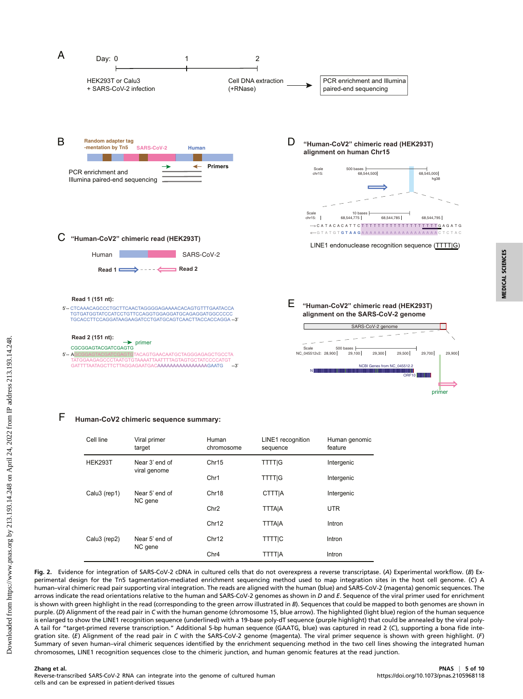

#### F **Human-CoV2 chimeric sequence summary:**

| Cell line      | Viral primer<br>target         | Human<br>chromosome | LINE1 recognition<br>sequence | Human genomic<br>feature |
|----------------|--------------------------------|---------------------|-------------------------------|--------------------------|
| <b>HEK293T</b> | Near 3' end of<br>viral genome | Chr15               | <b>TTTTIG</b>                 | Intergenic               |
|                |                                | Chr1                | <b>TTTTIG</b>                 | Intergenic               |
| Calu3 (rep1)   | Near 5' end of                 | Chr18               | <b>CTTTIA</b>                 | Intergenic               |
|                | NC gene                        | Chr <sub>2</sub>    | <b>TTTAIA</b>                 | <b>UTR</b>               |
|                |                                | Chr12               | <b>TTTAIA</b>                 | Intron                   |
| Calu3 (rep2)   | Near 5' end of<br>NC gene      | Chr12               | <b>TTTTIC</b>                 | Intron                   |
|                |                                | Chr4                | <b>TTTTIA</b>                 | Intron                   |

Fig. 2. Evidence for integration of SARS-CoV-2 cDNA in cultured cells that do not overexpress a reverse transcriptase. (A) Experimental workflow. (B) Experimental design for the Tn5 tagmentation-mediated enrichment sequencing method used to map integration sites in the host cell genome. (C) A human–viral chimeric read pair supporting viral integration. The reads are aligned with the human (blue) and SARS-CoV-2 (magenta) genomic sequences. The arrows indicate the read orientations relative to the human and SARS-CoV-2 genomes as shown in D and E. Sequence of the viral primer used for enrichment is shown with green highlight in the read (corresponding to the green arrow illustrated in B). Sequences that could be mapped to both genomes are shown in purple. (D) Alignment of the read pair in C with the human genome (chromosome 15, blue arrow). The highlighted (light blue) region of the human sequence is enlarged to show the LINE1 recognition sequence (underlined) with a 19-base poly-dT sequence (purple highlight) that could be annealed by the viral poly-A tail for "target-primed reverse transcription." Additional 5-bp human sequence (GAATG, blue) was captured in read 2 (C), supporting a bona fide integration site. (E) Alignment of the read pair in C with the SARS-CoV-2 genome (magenta). The viral primer sequence is shown with green highlight. (F) Summary of seven human–viral chimeric sequences identified by the enrichment sequencing method in the two cell lines showing the integrated human chromosomes, LINE1 recognition sequences close to the chimeric junction, and human genomic features at the read junction.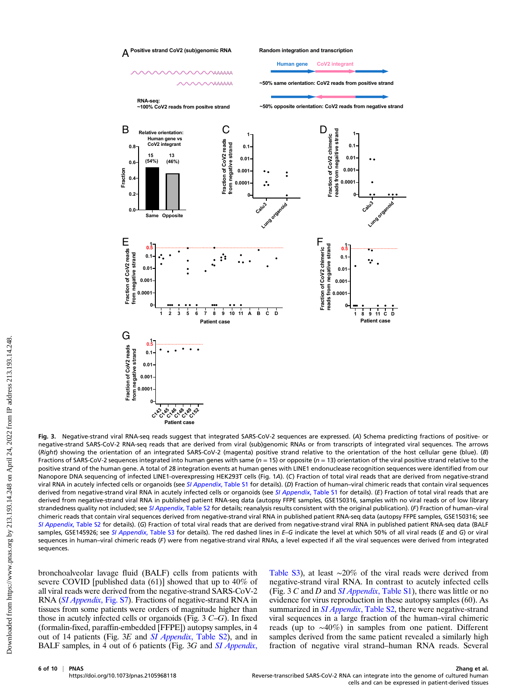

Fig. 3. Negative-strand viral RNA-seq reads suggest that integrated SARS-CoV-2 sequences are expressed. (A) Schema predicting fractions of positive- or negative-strand SARS-CoV-2 RNA-seq reads that are derived from viral (sub)genomic RNAs or from transcripts of integrated viral sequences. The arrows (Right) showing the orientation of an integrated SARS-CoV-2 (magenta) positive strand relative to the orientation of the host cellular gene (blue). (B) Fractions of SARS-CoV-2 sequences integrated into human genes with same ( $n = 15$ ) or opposite ( $n = 13$ ) orientation of the viral positive strand relative to the positive strand of the human gene. A total of 28 integration events at human genes with LINE1 endonuclease recognition sequences were identified from our Nanopore DNA sequencing of infected LINE1-overexpressing HEK293T cells (Fig. 1A). (C) Fraction of total viral reads that are derived from negative-strand viral RNA in acutely infected cells or organoids (see [SI Appendix](https://www.pnas.org/lookup/suppl/doi:10.1073/pnas.2105968118/-/DCSupplemental), Table S1 for details). (D) Fraction of human-viral chimeric reads that contain viral sequences derived from negative-strand viral RNA in acutely infected cells or organoids (see [SI Appendix](https://www.pnas.org/lookup/suppl/doi:10.1073/pnas.2105968118/-/DCSupplemental), Table S1 for details). (E) Fraction of total viral reads that are derived from negative-strand viral RNA in published patient RNA-seq data (autopsy FFPE samples, GSE150316, samples with no viral reads or of low library strandedness quality not included; see [SI Appendix](https://www.pnas.org/lookup/suppl/doi:10.1073/pnas.2105968118/-/DCSupplemental), Table S2 for details; reanalysis results consistent with the original publication). (F) Fraction of human-viral chimeric reads that contain viral sequences derived from negative-strand viral RNA in published patient RNA-seq data (autopsy FFPE samples, GSE150316; see [SI Appendix](https://www.pnas.org/lookup/suppl/doi:10.1073/pnas.2105968118/-/DCSupplemental), Table S2 for details). (G) Fraction of total viral reads that are derived from negative-strand viral RNA in published patient RNA-seq data (BALF samples, GSE145926; see [SI Appendix](https://www.pnas.org/lookup/suppl/doi:10.1073/pnas.2105968118/-/DCSupplemental), Table S3 for details). The red dashed lines in E-G indicate the level at which 50% of all viral reads (E and G) or viral sequences in human-viral chimeric reads (F) were from negative-strand viral RNAs, a level expected if all the viral sequences were derived from integrated sequences.

bronchoalveolar lavage fluid (BALF) cells from patients with severe COVID [published data (61)] showed that up to 40% of all viral reads were derived from the negative-strand SARS-CoV-2 RNA ([SI Appendix](https://www.pnas.org/lookup/suppl/doi:10.1073/pnas.2105968118/-/DCSupplemental), Fig. S7). Fractions of negative-strand RNA in tissues from some patients were orders of magnitude higher than those in acutely infected cells or organoids (Fig. 3 C–G). In fixed (formalin-fixed, paraffin-embedded [FFPE]) autopsy samples, in 4 out of 14 patients (Fig. 3E and SI Appendix[, Table S2\)](https://www.pnas.org/lookup/suppl/doi:10.1073/pnas.2105968118/-/DCSupplemental), and in BALF samples, in 4 out of 6 patients (Fig. 3G and [SI Appendix](https://www.pnas.org/lookup/suppl/doi:10.1073/pnas.2105968118/-/DCSupplemental), [Table S3\)](https://www.pnas.org/lookup/suppl/doi:10.1073/pnas.2105968118/-/DCSupplemental), at least ∼20% of the viral reads were derived from negative-strand viral RNA. In contrast to acutely infected cells (Fig. 3  $C$  and  $D$  and  $SI$  *Appendix*[, Table S1\)](https://www.pnas.org/lookup/suppl/doi:10.1073/pnas.2105968118/-/DCSupplemental), there was little or no evidence for virus reproduction in these autopsy samples (60). As summarized in *SI Appendix*[, Table S2](https://www.pnas.org/lookup/suppl/doi:10.1073/pnas.2105968118/-/DCSupplemental), there were negative-strand viral sequences in a large fraction of the human–viral chimeric reads (up to ∼40%) in samples from one patient. Different samples derived from the same patient revealed a similarly high fraction of negative viral strand–human RNA reads. Several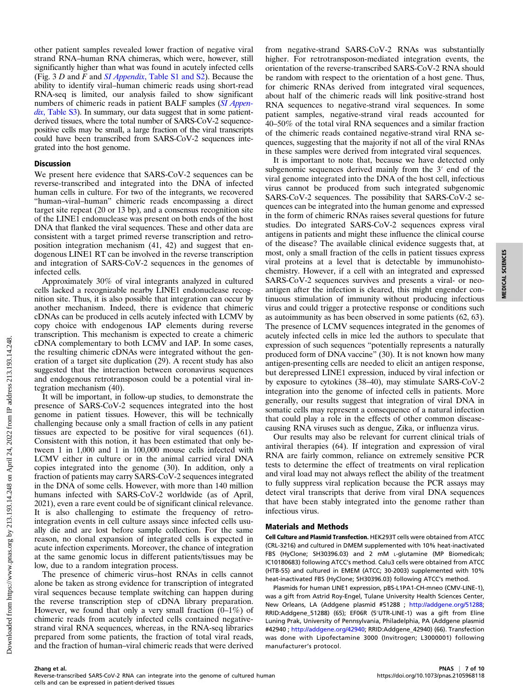other patient samples revealed lower fraction of negative viral strand RNA–human RNA chimeras, which were, however, still significantly higher than what was found in acutely infected cells (Fig.  $3 D$  and F and SI Appendix[, Table S1 and S2](https://www.pnas.org/lookup/suppl/doi:10.1073/pnas.2105968118/-/DCSupplemental)). Because the ability to identify viral–human chimeric reads using short-read RNA-seq is limited, our analysis failed to show significant numbers of chimeric reads in patient BALF samples ([SI Appen-](https://www.pnas.org/lookup/suppl/doi:10.1073/pnas.2105968118/-/DCSupplemental)dix[, Table S3](https://www.pnas.org/lookup/suppl/doi:10.1073/pnas.2105968118/-/DCSupplemental)). In summary, our data suggest that in some patientderived tissues, where the total number of SARS-CoV-2 sequencepositive cells may be small, a large fraction of the viral transcripts could have been transcribed from SARS-CoV-2 sequences integrated into the host genome.

#### Discussion

We present here evidence that SARS-CoV-2 sequences can be reverse-transcribed and integrated into the DNA of infected human cells in culture. For two of the integrants, we recovered "human–viral–human" chimeric reads encompassing a direct target site repeat (20 or 13 bp), and a consensus recognition site of the LINE1 endonuclease was present on both ends of the host DNA that flanked the viral sequences. These and other data are consistent with a target primed reverse transcription and retroposition integration mechanism (41, 42) and suggest that endogenous LINE1 RT can be involved in the reverse transcription and integration of SARS-CoV-2 sequences in the genomes of infected cells.

Approximately 30% of viral integrants analyzed in cultured cells lacked a recognizable nearby LINE1 endonuclease recognition site. Thus, it is also possible that integration can occur by another mechanism. Indeed, there is evidence that chimeric cDNAs can be produced in cells acutely infected with LCMV by copy choice with endogenous IAP elements during reverse transcription. This mechanism is expected to create a chimeric cDNA complementary to both LCMV and IAP. In some cases, the resulting chimeric cDNAs were integrated without the generation of a target site duplication (29). A recent study has also suggested that the interaction between coronavirus sequences and endogenous retrotransposon could be a potential viral integration mechanism (40).

It will be important, in follow-up studies, to demonstrate the presence of SARS-CoV-2 sequences integrated into the host genome in patient tissues. However, this will be technically challenging because only a small fraction of cells in any patient tissues are expected to be positive for viral sequences (61). Consistent with this notion, it has been estimated that only between 1 in 1,000 and 1 in 100,000 mouse cells infected with LCMV either in culture or in the animal carried viral DNA copies integrated into the genome (30). In addition, only a fraction of patients may carry SARS-CoV-2 sequences integrated in the DNA of some cells. However, with more than 140 million humans infected with SARS-CoV-2 worldwide (as of April, 2021), even a rare event could be of significant clinical relevance. It is also challenging to estimate the frequency of retrointegration events in cell culture assays since infected cells usually die and are lost before sample collection. For the same reason, no clonal expansion of integrated cells is expected in acute infection experiments. Moreover, the chance of integration at the same genomic locus in different patients/tissues may be low, due to a random integration process.

The presence of chimeric virus–host RNAs in cells cannot alone be taken as strong evidence for transcription of integrated viral sequences because template switching can happen during the reverse transcription step of cDNA library preparation. However, we found that only a very small fraction  $(0-1\%)$  of chimeric reads from acutely infected cells contained negativestrand viral RNA sequences, whereas, in the RNA-seq libraries prepared from some patients, the fraction of total viral reads, and the fraction of human–viral chimeric reads that were derived

from negative-strand SARS-CoV-2 RNAs was substantially higher. For retrotransposon-mediated integration events, the orientation of the reverse-transcribed SARS-CoV-2 RNA should be random with respect to the orientation of a host gene. Thus, for chimeric RNAs derived from integrated viral sequences, about half of the chimeric reads will link positive-strand host RNA sequences to negative-strand viral sequences. In some patient samples, negative-strand viral reads accounted for 40–50% of the total viral RNA sequences and a similar fraction of the chimeric reads contained negative-strand viral RNA sequences, suggesting that the majority if not all of the viral RNAs in these samples were derived from integrated viral sequences.

It is important to note that, because we have detected only subgenomic sequences derived mainly from the 3′ end of the viral genome integrated into the DNA of the host cell, infectious virus cannot be produced from such integrated subgenomic SARS-CoV-2 sequences. The possibility that SARS-CoV-2 sequences can be integrated into the human genome and expressed in the form of chimeric RNAs raises several questions for future studies. Do integrated SARS-CoV-2 sequences express viral antigens in patients and might these influence the clinical course of the disease? The available clinical evidence suggests that, at most, only a small fraction of the cells in patient tissues express viral proteins at a level that is detectable by immunohistochemistry. However, if a cell with an integrated and expressed SARS-CoV-2 sequences survives and presents a viral- or neoantigen after the infection is cleared, this might engender continuous stimulation of immunity without producing infectious virus and could trigger a protective response or conditions such as autoimmunity as has been observed in some patients (62, 63). The presence of LCMV sequences integrated in the genomes of acutely infected cells in mice led the authors to speculate that expression of such sequences "potentially represents a naturally produced form of DNA vaccine" (30). It is not known how many antigen-presenting cells are needed to elicit an antigen response, but derepressed LINE1 expression, induced by viral infection or by exposure to cytokines (38–40), may stimulate SARS-CoV-2 integration into the genome of infected cells in patients. More generally, our results suggest that integration of viral DNA in somatic cells may represent a consequence of a natural infection that could play a role in the effects of other common diseasecausing RNA viruses such as dengue, Zika, or influenza virus.

Our results may also be relevant for current clinical trials of antiviral therapies (64). If integration and expression of viral RNA are fairly common, reliance on extremely sensitive PCR tests to determine the effect of treatments on viral replication and viral load may not always reflect the ability of the treatment to fully suppress viral replication because the PCR assays may detect viral transcripts that derive from viral DNA sequences that have been stably integrated into the genome rather than infectious virus.

#### Materials and Methods

Cell Culture and Plasmid Transfection. HEK293T cells were obtained from ATCC (CRL-3216) and cultured in DMEM supplemented with 10% heat-inactivated FBS (HyClone; SH30396.03) and 2 mM L-glutamine (MP Biomedicals; IC10180683) following ATCC's method. Calu3 cells were obtained from ATCC (HTB-55) and cultured in EMEM (ATCC; 30-2003) supplemented with 10% heat-inactivated FBS (HyClone; SH30396.03) following ATCC's method.

Plasmids for human LINE1 expression, pBS-L1PA1-CH-mneo (CMV-LINE-1), was a gift from Astrid Roy-Engel, Tulane University Health Sciences Center, New Orleans, LA (Addgene plasmid #51288 ; <http://addgene.org/51288>; RRID:Addgene\_51288) (65); EF06R (5′UTR-LINE-1) was a gift from Eline Luning Prak, University of Pennsylvania, Philadelphia, PA (Addgene plasmid #42940 ; <http://addgene.org/42940>; RRID:Addgene\_42940) (66). Transfection was done with Lipofectamine 3000 (Invitrogen; L3000001) following manufacturer's protocol.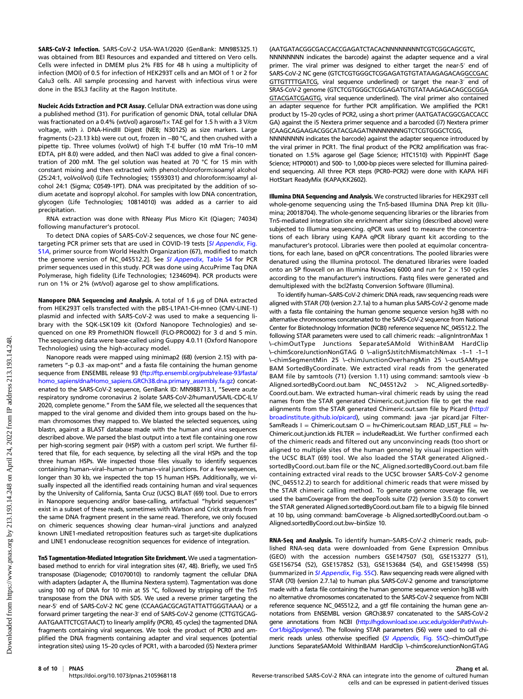SARS-CoV-2 Infection. SARS-CoV-2 USA-WA1/2020 (GenBank: MN985325.1) was obtained from BEI Resources and expanded and tittered on Vero cells. Cells were infected in DMEM plus 2% FBS for 48 h using a multiplicity of infection (MOI) of 0.5 for infection of HEK293T cells and an MOI of 1 or 2 for Calu3 cells. All sample processing and harvest with infectious virus were done in the BSL3 facility at the Ragon Institute.

Nucleic Acids Extraction and PCR Assay. Cellular DNA extraction was done using a published method (31). For purification of genomic DNA, total cellular DNA was fractionated on a 0.4% (wt/vol) agarose/1× TAE gel for 1.5 h with a 3 V/cm voltage, with λ DNA-HindIII Digest (NEB; N3012S) as size markers. Large fragments (>23.13 kb) were cut out, frozen in −80 °C, and then crushed with a pipette tip. Three volumes (vol/wt) of high T-E buffer (10 mM Tris–10 mM EDTA, pH 8.0) were added, and then NaCl was added to give a final concentration of 200 mM. The gel solution was heated at 70 °C for 15 min with constant mixing and then extracted with phenol:chloroform:isoamyl alcohol (25:24:1, vol/vol/vol) (Life Technologies; 15593031) and chloroform:isoamyl alcohol 24:1 (Sigma; C0549-1PT). DNA was precipitated by the addition of sodium acetate and isopropyl alcohol. For samples with low DNA concentration, glycogen (Life Technologies; 10814010) was added as a carrier to aid precipitation.

RNA extraction was done with RNeasy Plus Micro Kit (Qiagen; 74034) following manufacturer's protocol.

To detect DNA copies of SARS-CoV-2 sequences, we chose four NC gene-targeting PCR primer sets that are used in COVID-19 tests [[SI Appendix](https://www.pnas.org/lookup/suppl/doi:10.1073/pnas.2105968118/-/DCSupplemental), Fig. [S1](https://www.pnas.org/lookup/suppl/doi:10.1073/pnas.2105968118/-/DCSupplemental)A, primer source from World Health Organization (67), modified to match the genome version of NC\_045512.2]. See [SI Appendix](https://www.pnas.org/lookup/suppl/doi:10.1073/pnas.2105968118/-/DCSupplemental), Table S4 for PCR primer sequences used in this study. PCR was done using AccuPrime Taq DNA Polymerase, high fidelity (Life Technologies; 12346094). PCR products were run on 1% or 2% (wt/vol) agarose gel to show amplifications.

Nanopore DNA Sequencing and Analysis. A total of 1.6 μg of DNA extracted from HEK293T cells transfected with the pBS-L1PA1-CH-mneo (CMV-LINE-1) plasmid and infected with SARS-CoV-2 was used to make a sequencing library with the SQK-LSK109 kit (Oxford Nanopore Technologies) and sequenced on one R9 PromethION flowcell (FLO-PRO002) for 3 d and 5 min. The sequencing data were base-called using Guppy 4.0.11 (Oxford Nanopore Technologies) using the high-accuracy model.

Nanopore reads were mapped using minimap2 (68) (version 2.15) with parameters "-p 0.3 -ax map-ont" and a fasta file containing the human genome sequence from ENSEMBL release 93 ([ftp://ftp.ensembl.org/pub/release-93/fasta/](ftp://ftp.ensembl.org/pub/release-93/fasta/homo_sapiens/dna/Homo_sapiens.GRCh38.dna.primary_assembly.fa.gz) [homo\\_sapiens/dna/Homo\\_sapiens.GRCh38.dna.primary\\_assembly.fa.gz\)](ftp://ftp.ensembl.org/pub/release-93/fasta/homo_sapiens/dna/Homo_sapiens.GRCh38.dna.primary_assembly.fa.gz) concatenated to the SARS-CoV-2 sequence, GenBank ID: MN988713.1, "Severe acute respiratory syndrome coronavirus 2 isolate SARS-CoV-2/human/USA/IL-CDC-IL1/ 2020, complete genome." From the SAM file, we selected all the sequences that mapped to the viral genome and divided them into groups based on the human chromosomes they mapped to. We blasted the selected sequences, using blastn, against a BLAST database made with the human and virus sequences described above. We parsed the blast output into a text file containing one row per high-scoring segment pair (HSP) with a custom perl script. We further filtered that file, for each sequence, by selecting all the viral HSPs and the top three human HSPs. We inspected those files visually to identify sequences containing human–viral–human or human–viral junctions. For a few sequences, longer than 30 kb, we inspected the top 15 human HSPs. Additionally, we visually inspected all the identified reads containing human and viral sequences by the University of California, Santa Cruz (UCSC) BLAT (69) tool. Due to errors in Nanopore sequencing and/or base-calling, artifactual "hybrid sequences" exist in a subset of these reads, sometimes with Watson and Crick strands from the same DNA fragment present in the same read. Therefore, we only focused on chimeric sequences showing clear human–viral junctions and analyzed known LINE1-mediated retroposition features such as target-site duplications and LINE1 endonuclease recognition sequences for evidence of integration.

Tn5 Tagmentation-Mediated Integration Site Enrichment. We used a tagmentationbased method to enrich for viral integration sites (47, 48). Briefly, we used Tn5 transposase (Diagenode; C01070010) to randomly tagment the cellular DNA with adapters (adapter A, the Illumina Nextera system). Tagmentation was done using 100 ng of DNA for 10 min at 55 °C, followed by stripping off the Tn5 transposase from the DNA with SDS. We used a reverse primer targeting the near-5′ end of SARS-CoV-2 NC gene (CCAAGACGCAGTATTATTGGGTAAA) or a forward primer targeting the near-3′ end of SARS-CoV-2 genome (CTTGTGCAG-AATGAATTCTCGTAACT) to linearly amplify (PCR0, 45 cycles) the tagmented DNA fragments containing viral sequences. We took the product of PCR0 and amplified the DNA fragments containing adapter and viral sequences (potential integration sites) using 15–20 cycles of PCR1, with a barcoded (i5) Nextera primer (AATGATACGGCGACCACCGAGATCTACACNNNNNNNNTCGTCGGCAGCGTC, NNNNNNNN indicates the barcode) against the adapter sequence and a viral primer. The viral primer was designed to either target the near-5′ end of SARS-CoV-2 NC gene (GTCTCGTGGGCTCGGAGATGTGTATAAGAGACAGGCCGAC GTTGTTTTGATCG, viral sequence underlined) or target the near-3′ end of SRAS-CoV-2 genome (GTCTCGTGGGCTCGGAGATGTGTATAAGAGACAGCGCGGA GTACGATCGAGTG, viral sequence underlined). The viral primer also contained an adapter sequence for further PCR amplification. We amplified the PCR1 product by 15–20 cycles of PCR2, using a short primer (AATGATACGGCGACCACC GA) against the i5 Nextera primer sequence and a barcoded (i7) Nextera primer (CAAGCAGAAGACGGCATACGAGATNNNNNNNNGTCTCGTGGGCTCGG,

NNNNNNNN indicates the barcode) against the adapter sequence introduced by the viral primer in PCR1. The final product of the PCR2 amplification was fractionated on 1.5% agarose gel (Sage Science; HTC1510) with PippinHT (Sage Science; HTP0001) and 500- to 1,000-bp pieces were selected for Illumina pairedend sequencing. All three PCR steps (PCR0–PCR2) were done with KAPA HiFi HotStart ReadyMix (KAPA;KK2602).

Illumina DNA Sequencing and Analysis. We constructed libraries for HEK293T cell whole-genome sequencing using the Tn5-based Illumina DNA Prep kit (Illumina; 20018704). The whole-genome sequencing libraries or the libraries from Tn5-mediated integration site enrichment after sizing (described above) were subjected to Illumina sequencing. qPCR was used to measure the concentrations of each library using KAPA qPCR library quant kit according to the manufacturer's protocol. Libraries were then pooled at equimolar concentrations, for each lane, based on qPCR concentrations. The pooled libraries were denatured using the Illumina protocol. The denatured libraries were loaded onto an SP flowcell on an Illumina NovaSeq 6000 and run for  $2 \times 150$  cycles according to the manufacturer's instructions. Fastq files were generated and demultiplexed with the bcl2fastq Conversion Software (Illumina).

To identify human–SARS-CoV-2 chimeric DNA reads, raw sequencing reads were aligned with STAR (70) (version 2.7.1a) to a human plus SARS-CoV-2 genome made with a fasta file containing the human genome sequence version hg38 with no alternative chromosomes concatenated to the SARS-CoV-2 sequence from National Center for Biotechnology Information (NCBI) reference sequence NC\_045512.2. The following STAR parameters were used to call chimeric reads: -alignIntronMax 1 \–chimOutType Junctions SeparateSAMold WithinBAM HardClip \–chimScoreJunctionNonGTAG 0 \–alignSJstitchMismatchNmax -1–1 -1–1 \–chimSegmentMin 25 \–chimJunctionOverhangMin 25 \–outSAMtype BAM SortedByCoordinate. We extracted viral reads from the generated BAM file by samtools (71) (version 1.11) using command: samtools view -b Aligned.sortedByCoord.out.bam NC\_045512v2 > NC\_Aligned.sortedBy-Coord.out.bam. We extracted human–viral chimeric reads by using the read names from the STAR generated Chimeric.out.junction file to get the read alignments from the STAR generated Chimeric.out.sam file by Picard [\(http://](http://broadinstitute.github.io/picard) [broadinstitute.github.io/picard](http://broadinstitute.github.io/picard)), using command: java -jar picard.jar Filter-SamReads I = Chimeric.out.sam O = hv-Chimeric.out.sam READ\_LIST\_FILE = hv- $Chimeric.out.$ junction.ids  $FILTER = includeReadList.$  We further confirmed each of the chimeric reads and filtered out any unconvincing reads (too short or aligned to multiple sites of the human genome) by visual inspection with the UCSC BLAT (69) tool. We also loaded the STAR generated Aligned. sortedByCoord.out.bam file or the NC\_Aligned.sortedByCoord.out.bam file containing extracted viral reads to the UCSC browser SARS-CoV-2 genome (NC\_045512.2) to search for additional chimeric reads that were missed by the STAR chimeric calling method. To generate genome coverage file, we used the bamCoverage from the deepTools suite (72) (version 3.5.0) to convert the STAR generated Aligned.sortedByCoord.out.bam file to a bigwig file binned at 10 bp, using command: bamCoverage -b Aligned.sortedByCoord.out.bam -o Aligned.sortedByCoord.out.bw–binSize 10.

RNA-Seq and Analysis. To identify human–SARS-CoV-2 chimeric reads, published RNA-seq data were downloaded from Gene Expression Omnibus (GEO) with the accession numbers GSE147507 (50), GSE153277 (51), GSE156754 (52), GSE157852 (53), GSE153684 (54), and GSE154998 (55) (summarized in [SI Appendix](https://www.pnas.org/lookup/suppl/doi:10.1073/pnas.2105968118/-/DCSupplemental), Fig. S5C). Raw sequencing reads were aligned with STAR (70) (version 2.7.1a) to human plus SARS-CoV-2 genome and transcriptome made with a fasta file containing the human genome sequence version hg38 with no alternative chromosomes concatenated to the SARS-CoV-2 sequence from NCBI reference sequence NC\_045512.2, and a gtf file containing the human gene annotations from ENSEMBL version GRCh38.97 concatenated to the SARS-CoV-2 gene annotations from NCBI [\(http://hgdownload.soe.ucsc.edu/goldenPath/wuh-](http://hgdownload.soe.ucsc.edu/goldenPath/wuhCor1/bigZips/genes/)[Cor1/bigZips/genes/](http://hgdownload.soe.ucsc.edu/goldenPath/wuhCor1/bigZips/genes/)). The following STAR parameters (56) were used to call chi-meric reads unless otherwise specified ([SI Appendix](https://www.pnas.org/lookup/suppl/doi:10.1073/pnas.2105968118/-/DCSupplemental), Fig. S5C):-chimOutType Junctions SeparateSAMold WithinBAM HardClip \–chimScoreJunctionNonGTAG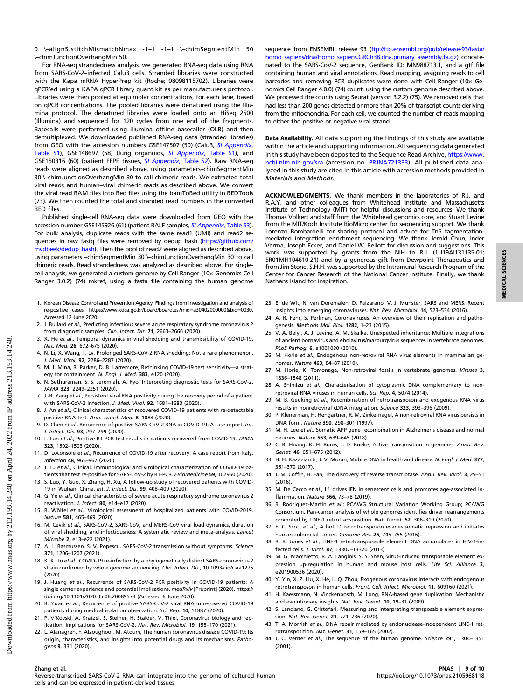0 \–alignSJstitchMismatchNmax -1–1 -1–1 \–chimSegmentMin 50 \–chimJunctionOverhangMin 50.

For RNA-seq strandedness analysis, we generated RNA-seq data using RNA from SARS-CoV-2–infected Calu3 cells. Stranded libraries were constructed with the Kapa mRNA HyperPrep kit (Roche; 08098115702). Libraries were qPCR'ed using a KAPA qPCR library quant kit as per manufacturer's protocol. Libraries were then pooled at equimolar concentrations, for each lane, based on qPCR concentrations. The pooled libraries were denatured using the Illumina protocol. The denatured libraries were loaded onto an HiSeq 2500 (Illumina) and sequenced for 120 cycles from one end of the fragments. Basecalls were performed using Illumina offline basecaller (OLB) and then demultiplexed. We downloaded published RNA-seq data (stranded libraries) from GEO with the accession numbers GSE147507 (50) (Calu3, [SI Appendix](https://www.pnas.org/lookup/suppl/doi:10.1073/pnas.2105968118/-/DCSupplemental), [Table S1](https://www.pnas.org/lookup/suppl/doi:10.1073/pnas.2105968118/-/DCSupplemental)), GSE148697 (58) (lung organoids, [SI Appendix](https://www.pnas.org/lookup/suppl/doi:10.1073/pnas.2105968118/-/DCSupplemental), Table S1), and GSE150316 (60) (patient FFPE tissues, [SI Appendix](https://www.pnas.org/lookup/suppl/doi:10.1073/pnas.2105968118/-/DCSupplemental), Table S2). Raw RNA-seq reads were aligned as described above, using parameters–chimSegmentMin 30 \–chimJunctionOverhangMin 30 to call chimeric reads. We extracted total viral reads and human–viral chimeric reads as described above. We convert the viral read BAM files into Bed files using the bamToBed utility in BEDTools (73). We then counted the total and stranded read numbers in the converted BED files.

Published single-cell RNA-seq data were downloaded from GEO with the accession number GSE145926 (61) (patient BALF samples, [SI Appendix](https://www.pnas.org/lookup/suppl/doi:10.1073/pnas.2105968118/-/DCSupplemental), Table S3). For bulk analysis, duplicate reads with the same read1 (UMI) and read2 se-quences in raw fastq files were removed by dedup\_hash [\(https://github.com/](https://github.com/mvdbeek/dedup_hash) [mvdbeek/dedup\\_hash\)](https://github.com/mvdbeek/dedup_hash). Then the pool of read2 were aligned as described above, using parameters –chimSegmentMin 30 \–chimJunctionOverhangMin 30 to call chimeric reads. Read strandedness was analyzed as described above. For singlecell analysis, we generated a custom genome by Cell Ranger (10× Genomics Cell Ranger 3.0.2) (74) mkref, using a fasta file containing the human genome

- 1. Korean Disease Control and Prevention Agency, Findings from investigation and analysis of re-positive cases. [https://www.kdca.go.kr/board/board.es?mid](https://www.kdca.go.kr/board/board.es?mid=a30402000000&bid=0030)=a30402000000&bid=0030. Accessed 12 June 2020.
- 2. J. Bullard et al., Predicting infectious severe acute respiratory syndrome coronavirus 2 from diagnostic samples. Clin. Infect. Dis. 71, 2663–2666 (2020).
- 3. X. He et al., Temporal dynamics in viral shedding and transmissibility of COVID-19. Nat. Med. 26, 672–675 (2020).
- 4. N. Li, X. Wang, T. Lv, Prolonged SARS-CoV-2 RNA shedding: Not a rare phenomenon. J. Med. Virol. 92, 2286–2287 (2020).
- 5. M. J. Mina, R. Parker, D. B. Larremore, Rethinking COVID-19 test sensitivity—a strategy for containment. N. Engl. J. Med. 383, e120 (2020).
- 6. N. Sethuraman, S. S. Jeremiah, A. Ryo, Interpreting diagnostic tests for SARS-CoV-2. JAMA 323, 2249–2251 (2020).
- 7. J.-R. Yang et al., Persistent viral RNA positivity during the recovery period of a patient with SARS-CoV-2 infection. J. Med. Virol. 92, 1681–1683 (2020).
- 8. J. An et al., Clinical characteristics of recovered COVID-19 patients with re-detectable positive RNA test. Ann. Transl. Med. 8, 1084 (2020).
- 9. D. Chen et al., Recurrence of positive SARS-CoV-2 RNA in COVID-19: A case report. Int. J. Infect. Dis. 93, 297–299 (2020).
- 10. L. Lan et al., Positive RT-PCR test results in patients recovered from COVID-19. JAMA 323, 1502–1503 (2020).
- 11. D. Loconsole et al., Recurrence of COVID-19 after recovery: A case report from Italy. Infection 48, 965–967 (2020).
- 12. J. Lu et al., Clinical, immunological and virological characterization of COVID-19 patients that test re-positive for SARS-CoV-2 by RT-PCR. EBioMedicine 59, 102960 (2020).
- 13. S. Luo, Y. Guo, X. Zhang, H. Xu, A follow-up study of recovered patients with COVID-19 in Wuhan, China. Int. J. Infect. Dis. 99, 408–409 (2020).
- 14. G. Ye et al., Clinical characteristics of severe acute respiratory syndrome coronavirus 2 reactivation. J. Infect. 80, e14–e17 (2020).
- 15. R. Wölfel et al., Virological assessment of hospitalized patients with COVID-2019. Nature 581, 465–469 (2020).
- 16. M. Cevik et al., SARS-CoV-2, SARS-CoV, and MERS-CoV viral load dynamics, duration of viral shedding, and infectiousness: A systematic review and meta-analysis. Lancet Microbe 2, e13–e22 (2021).
- 17. A. L. Rasmussen, S. V. Popescu, SARS-CoV-2 transmission without symptoms. Science 371, 1206–1207 (2021).
- 18. K. K. To et al., COVID-19 re-infection by a phylogenetically distinct SARS-coronavirus-2 strain confirmed by whole genome sequencing. Clin. Infect. Dis., 10.1093/cid/ciaa1275 (2020).
- 19. J. Huang et al., Recurrence of SARS-CoV-2 PCR positivity in COVID-19 patients: A single center experience and potential implications. medRxiv [Preprint] (2020). [https://](https://doi.org/10.1101/2020.05.06.20089573) [doi.org/10.1101/2020.05.06.20089573](https://doi.org/10.1101/2020.05.06.20089573) (Accessed 6 June 2020).
- 20. B. Yuan et al., Recurrence of positive SARS-CoV-2 viral RNA in recovered COVID-19 patients during medical isolation observation. Sci. Rep. 10, 11887 (2020).
- 21. P. V'Kovski, A. Kratzel, S. Steiner, H. Stalder, V. Thiel, Coronavirus biology and replication: Implications for SARS-CoV-2. Nat. Rev. Microbiol. 19, 155–170 (2021).
- 22. L. Alanagreh, F. Alzoughool, M. Atoum, The human coronavirus disease COVID-19: Its origin, characteristics, and insights into potential drugs and its mechanisms. Pathogens 9, 331 (2020).

cells and can be expressed in patient-derived tissues

sequence from ENSEMBL release 93 [\(ftp://ftp.ensembl.org/pub/release-93/fasta/](ftp://ftp.ensembl.org/pub/release-93/fasta/homo_sapiens/dna/Homo_sapiens.GRCh38.dna.primary_assembly.fa.gz) [homo\\_sapiens/dna/Homo\\_sapiens.GRCh38.dna.primary\\_assembly.fa.gz\)](ftp://ftp.ensembl.org/pub/release-93/fasta/homo_sapiens/dna/Homo_sapiens.GRCh38.dna.primary_assembly.fa.gz) concatenated to the SARS-CoV-2 sequence, GenBank ID: MN988713.1, and a gtf file containing human and viral annotations. Read mapping, assigning reads to cell barcodes and removing PCR duplicates were done with Cell Ranger (10x Genomics Cell Ranger 4.0.0) (74) count, using the custom genome described above. We processed the counts using Seurat (version 3.2.2) (75). We removed cells that had less than 200 genes detected or more than 20% of transcript counts deriving from the mitochondria. For each cell, we counted the number of reads mapping to either the positive or negative viral strand.

Data Availability. All data supporting the findings of this study are available within the article and supporting information. All sequencing data generated in this study have been deposited to the Sequence Read Archive, [https://www.](https://www.ncbi.nlm.nih.gov/sra) [ncbi.nlm.nih.gov/sra](https://www.ncbi.nlm.nih.gov/sra) (accession no. [PRJNA721333\)](https://www.ncbi.nlm.nih.gov/bioproject/?term=PRJNA721333). All published data analyzed in this study are cited in this article with accession methods provided in Materials and Methods.

ACKNOWLEDGMENTS. We thank members in the laboratories of R.J. and R.A.Y. and other colleagues from Whitehead Institute and Massachusetts Institute of Technology (MIT) for helpful discussions and resources. We thank Thomas Volkert and staff from the Whitehead genomics core, and Stuart Levine from the MIT/Koch Institute BioMicro center for sequencing support. We thank Lorenzo Bombardelli for sharing protocol and advice for Tn5 tagmentationmediated integration enrichment sequencing. We thank Jerold Chun, Inder Verma, Joseph Ecker, and Daniel W. Bellott for discussion and suggestions. This work was supported by grants from the NIH to R.J. (1U19AI131135-01; 5R01MH104610-21) and by a generous gift from Dewpoint Therapeutics and from Jim Stone. S.H.H. was supported by the Intramural Research Program of the Center for Cancer Research of the National Cancer Institute. Finally, we thank Nathans Island for inspiration.

23. E. de Wit, N. van Doremalen, D. Falzarano, V. J. Munster, SARS and MERS: Recent insights into emerging coronaviruses. Nat. Rev. Microbiol. 14, 523–534 (2016).

MEDICAL SCIENCES

**MEDICAL SCIENCES** 

- 24. A. R. Fehr, S. Perlman, Coronaviruses: An overview of their replication and pathogenesis. Methods Mol. Biol. 1282, 1–23 (2015).
- 25. V. A. Belyi, A. J. Levine, A. M. Skalka, Unexpected inheritance: Multiple integrations of ancient bornavirus and ebolavirus/marburgvirus sequences in vertebrate genomes. PLoS Pathog. 6, e1001030 (2010).
- 26. M. Horie et al., Endogenous non-retroviral RNA virus elements in mammalian genomes. Nature 463, 84–87 (2010).
- 27. M. Horie, K. Tomonaga, Non-retroviral fossils in vertebrate genomes. Viruses 3, 1836–1848 (2011).
- 28. A. Shimizu et al., Characterisation of cytoplasmic DNA complementary to nonretroviral RNA viruses in human cells. Sci. Rep. 4, 5074 (2014).
- 29. M. B. Geuking et al., Recombination of retrotransposon and exogenous RNA virus results in nonretroviral cDNA integration. Science 323, 393–396 (2009).
- 30. P. Klenerman, H. Hengartner, R. M. Zinkernagel, A non-retroviral RNA virus persists in DNA form. Nature 390, 298–301 (1997).
- 31. M. H. Lee et al., Somatic APP gene recombination in Alzheimer's disease and normal neurons. Nature 563, 639–645 (2018).
- 32. C. R. Huang, K. H. Burns, J. D. Boeke, Active transposition in genomes. Annu. Rev. Genet. 46, 651–675 (2012).
- 33. H. H. Kazazian Jr, J. V. Moran, Mobile DNA in health and disease. N. Engl. J. Med. 377, 361–370 (2017).
- 34. J. M. Coffin, H. Fan, The discovery of reverse transcriptase. Annu. Rev. Virol. 3, 29–51 (2016).
- 35. M. De Cecco et al., L1 drives IFN in senescent cells and promotes age-associated inflammation. Nature 566, 73–78 (2019).
- 36. B. Rodriguez-Martin et al.; PCAWG Structural Variation Working Group; PCAWG Consortium, Pan-cancer analysis of whole genomes identifies driver rearrangements promoted by LINE-1 retrotransposition. Nat. Genet. 52, 306–319 (2020).
- 37. E. C. Scott et al., A hot L1 retrotransposon evades somatic repression and initiates human colorectal cancer. Genome Res. 26, 745–755 (2016).
- 38. R. B. Jones et al., LINE-1 retrotransposable element DNA accumulates in HIV-1-infected cells. J. Virol. 87, 13307–13320 (2013).
- 39. M. G. Macchietto, R. A. Langlois, S. S. Shen, Virus-induced transposable element expression up-regulation in human and mouse host cells. Life Sci. Alliance 3, e201900536 (2020).
- 40. Y. Yin, X. Z. Liu, X. He, L. Q. Zhou, Exogenous coronavirus interacts with endogenous retrotransposon in human cells. Front. Cell. Infect. Microbiol. 11, 609160 (2021).
- 41. H. Kaessmann, N. Vinckenbosch, M. Long, RNA-based gene duplication: Mechanistic and evolutionary insights. Nat. Rev. Genet. 10, 19–31 (2009).
- 42. S. Lanciano, G. Cristofari, Measuring and interpreting transposable element expression. Nat. Rev. Genet. 21, 721–736 (2020).
- 43. T. A. Morrish et al., DNA repair mediated by endonuclease-independent LINE-1 retrotransposition. Nat. Genet. 31, 159–165 (2002).
- 44. J. C. Venter et al., The sequence of the human genome. Science 291, 1304-1351 (2001).